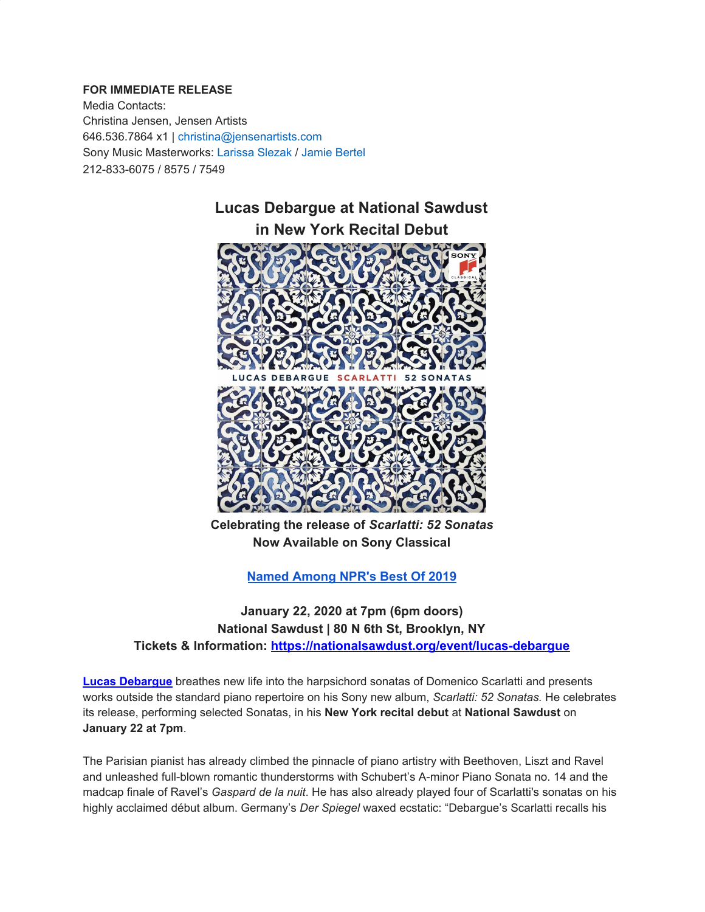## **FOR IMMEDIATE RELEASE**

Media Contacts: Christina Jensen, Jensen Artists 646.536.7864 x1 | christina@jensenartists.com Sony Music Masterworks: Larissa Slezak / Jamie Bertel 212-833-6075 / 8575 / 7549



**Celebrating the release of** *Scarlatti: 52 Sonatas* **Now Available on Sony Classical**

**Named [Among](https://u7061146.ct.sendgrid.net/wf/click?upn=G62jSYfZdO-2F12d8lSllQBxRymnI7IyCnMIUn95kw5euDwIMLKPRBKpe9lj2w5pZNf89-2FA4-2F9MD5E7LEUcefgDqFlwHLJX-2BgNPIPSWxqpg-2FnlDIiiRj81-2Fhv-2FMtwdiiTS_DruDjhchMBr5xQkz3h1qcOnjZc-2BCsAVhraQ7DxYhbA2-2BHLQf-2BHKWaWi2FTM7QHo-2Fd7eCMDRMAhfd2mcWSs-2FpzNW9MmuPwV7rH-2FbDd7DdSSYReO7Q7zLMA-2FjFhnJbPvBaijqmNort03UcwUYd0LNr2cZGZFZsyjj-2BohR5-2Bnh93PWZk-2FGJYlN1ujCbLYmVgtTX5iqaGzuz5qvfpbLj2VHpF-2FRnTgFbYFuoW-2F-2F06YxrYd9Vvdmw0yyT6s7Yua2i9YpwdhBSfU3Dbf1gbooYIyobTNqh70rDUqy9al29tJEfaEvpfVKVRIf-2FTVzcDbdIgCItgLHojjPRsVBKoHnmNMUA6-2BWFF4MFJtR5BfNiEHZw-2F68-3D) NPR's Best Of 2019**

**January 22, 2020 at 7pm (6pm doors) National Sawdust | 80 N 6th St, Brooklyn, NY Tickets & Information: [https://nationalsawdust.org/event/lucas-debargue](https://u7061146.ct.sendgrid.net/wf/click?upn=G62jSYfZdO-2F12d8lSllQB4hDUDdY-2FxyYHTqwgdSCUJjayU8JgXteRnnAPi8KYsMlelEclIihP9rzlS4qHgx-2FQA-3D-3D_DruDjhchMBr5xQkz3h1qcOnjZc-2BCsAVhraQ7DxYhbA2-2BHLQf-2BHKWaWi2FTM7QHo-2Fd7eCMDRMAhfd2mcWSs-2FpzNW9MmuPwV7rH-2FbDd7DdSSYReO7Q7zLMA-2FjFhnJbPvBaijqmNort03UcwUYd0LNr2cZGZFZsyjj-2BohR5-2Bnh93PWZk-2FGJYlN1ujCbLYmVgtTX5iqaGzuz5qvfpbLj2VHpF5cmqg3n-2Bw5XNljitkYXb-2FZsXWT-2FKCBZUYWd3OVt1amuuptZPYxAE5wkH7Toqf1CvUphy5bFiIqfCVv4EZapmcTQg-2FMYJErjzoRWx4OiA3DENsr2FCd9H-2F51k-2Fh0nssjMQGtHvd5GBwEtSYomWkPs2o-3D)**

**Lucas [Debargue](https://u7061146.ct.sendgrid.net/wf/click?upn=G62jSYfZdO-2F12d8lSllQB4C8yhJVJ7ZFdluzkVcLeSjndKM-2F4Q4eNN2j5L8eoTW3bqKtBM9WH0EvaO2oxpcJITWkPLoOEahxO830bNMBIvY0Bz53sDPZPTyYq8Usww-2B3VR02Dyigy9AkncYxUnyj8shoXjHJf6mGyRdSh6WEDD5N2aQZoLkiL7jAhQpbzRJ8KguCCPVxSO2-2FM1fH-2F-2B-2F-2FGeU40by5u1wDCWZsoK50zcn5lRyEz5Xy3i-2BIAf3jc8z-2B9ztveevxgmAAtKvQnXLmbZ07GgCROa-2BlO510xq8qEjsNk4w1YBqEXayDC1jbmS-2Fu2iKkn5XbITZGyGcvAr2r9Oft9-2Fk9BReQpopSmVpAdefqmdaRgHojc7YUe-2B2XjhOu42ey1IVrz20Y6uufaPUqmrrWmo8-2FGk4MlpXDSDmfKovn-2BnAyBFQQZ1UgGYhuBrAa8m0lHoHZ-2FXu1j-2Fm2-2BJgEt9kLorNmo6Dq0qmC4LHuaAcjTPZMb2BHAvDxLvBZKS6d9KTMQJcrHXv6bpxm9lu3UmkznbxhBgtPg9R8o3TUs1v6M5D3FeZ2Q09Ilj3BvHX2qyMxLU8Fg8K7CKBCJlqCSYDeWCnTpnyd3Uwk2SlLPjYrzVoXXOTt0gehxAhsYFUG0SBtK-2B3Qn8ocnu4hkaNiFi3q308ukOSYxKX-2BQFDmlPhp9o-2FJt9N6mGugLypaNgTfmaCg62-2FOhYEIjp31Q7341R1mWjGUjUtUjWvTQITaFSY-3D_DruDjhchMBr5xQkz3h1qcOnjZc-2BCsAVhraQ7DxYhbA2-2BHLQf-2BHKWaWi2FTM7QHo-2Fd7eCMDRMAhfd2mcWSs-2FpzNW9MmuPwV7rH-2FbDd7DdSSYReO7Q7zLMA-2FjFhnJbPvBaijqmNort03UcwUYd0LNr2cZGZFZsyjj-2BohR5-2Bnh93PWZk-2FGJYlN1ujCbLYmVgtTX5iqaGzuz5qvfpbLj2VHpF5T1HUGnp5ybj-2FKwVMHigfy-2F-2B90riV9WCBFvXwjQZSKDtLxa5H2ZhpOua7JeZnKGYrE8ZjwGgk7h3BJtggD9TLZftOb4cIdnA3A0UXNveOMxIqVPz6-2BTIejeDUekEg9iRNGnMf2gi1dHb5GGiA4Bqv0-3D)** breathes new life into the harpsichord sonatas of Domenico Scarlatti and presents works outside the standard piano repertoire on his Sony new album, *Scarlatti: 52 Sonatas.* He celebrates its release, performing selected Sonatas, in his **New York recital debut** at **National Sawdust** on **January 22 at 7pm**.

The Parisian pianist has already climbed the pinnacle of piano artistry with Beethoven, Liszt and Ravel and unleashed full-blown romantic thunderstorms with Schubert's A-minor Piano Sonata no. 14 and the madcap finale of Ravel's *Gaspard de la nuit*. He has also already played four of Scarlatti's sonatas on his highly acclaimed début album. Germany's *Der Spiegel* waxed ecstatic: "Debargue's Scarlatti recalls his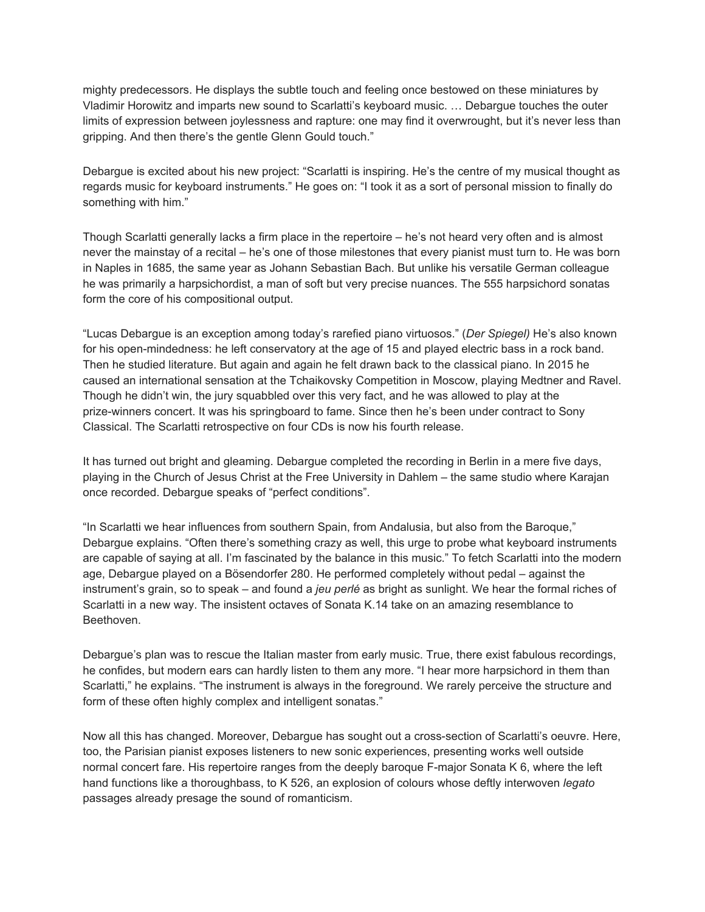mighty predecessors. He displays the subtle touch and feeling once bestowed on these miniatures by Vladimir Horowitz and imparts new sound to Scarlatti's keyboard music. … Debargue touches the outer limits of expression between joylessness and rapture: one may find it overwrought, but it's never less than gripping. And then there's the gentle Glenn Gould touch."

Debargue is excited about his new project: "Scarlatti is inspiring. He's the centre of my musical thought as regards music for keyboard instruments." He goes on: "I took it as a sort of personal mission to finally do something with him."

Though Scarlatti generally lacks a firm place in the repertoire – he's not heard very often and is almost never the mainstay of a recital – he's one of those milestones that every pianist must turn to. He was born in Naples in 1685, the same year as Johann Sebastian Bach. But unlike his versatile German colleague he was primarily a harpsichordist, a man of soft but very precise nuances. The 555 harpsichord sonatas form the core of his compositional output.

"Lucas Debargue is an exception among today's rarefied piano virtuosos." (*Der Spiegel)* He's also known for his open-mindedness: he left conservatory at the age of 15 and played electric bass in a rock band. Then he studied literature. But again and again he felt drawn back to the classical piano. In 2015 he caused an international sensation at the Tchaikovsky Competition in Moscow, playing Medtner and Ravel. Though he didn't win, the jury squabbled over this very fact, and he was allowed to play at the prize-winners concert. It was his springboard to fame. Since then he's been under contract to Sony Classical. The Scarlatti retrospective on four CDs is now his fourth release.

It has turned out bright and gleaming. Debargue completed the recording in Berlin in a mere five days, playing in the Church of Jesus Christ at the Free University in Dahlem – the same studio where Karajan once recorded. Debargue speaks of "perfect conditions".

"In Scarlatti we hear influences from southern Spain, from Andalusia, but also from the Baroque," Debargue explains. "Often there's something crazy as well, this urge to probe what keyboard instruments are capable of saying at all. I'm fascinated by the balance in this music." To fetch Scarlatti into the modern age, Debargue played on a Bösendorfer 280. He performed completely without pedal – against the instrument's grain, so to speak – and found a *jeu perlé* as bright as sunlight. We hear the formal riches of Scarlatti in a new way. The insistent octaves of Sonata K.14 take on an amazing resemblance to Beethoven.

Debargue's plan was to rescue the Italian master from early music. True, there exist fabulous recordings, he confides, but modern ears can hardly listen to them any more. "I hear more harpsichord in them than Scarlatti," he explains. "The instrument is always in the foreground. We rarely perceive the structure and form of these often highly complex and intelligent sonatas."

Now all this has changed. Moreover, Debargue has sought out a cross-section of Scarlatti's oeuvre. Here, too, the Parisian pianist exposes listeners to new sonic experiences, presenting works well outside normal concert fare. His repertoire ranges from the deeply baroque F-major Sonata K 6, where the left hand functions like a thoroughbass, to K 526, an explosion of colours whose deftly interwoven *legato* passages already presage the sound of romanticism.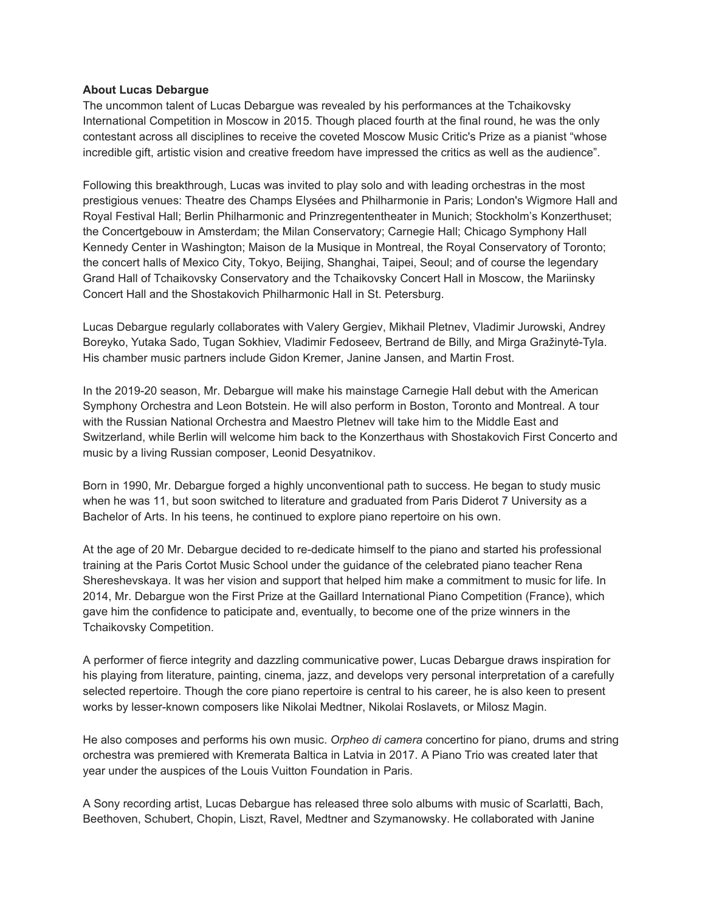## **About Lucas Debargue**

The uncommon talent of Lucas Debargue was revealed by his performances at the Tchaikovsky International Competition in Moscow in 2015. Though placed fourth at the final round, he was the only contestant across all disciplines to receive the coveted Moscow Music Critic's Prize as a pianist "whose incredible gift, artistic vision and creative freedom have impressed the critics as well as the audience".

Following this breakthrough, Lucas was invited to play solo and with leading orchestras in the most prestigious venues: Theatre des Champs Elysées and Philharmonie in Paris; London's Wigmore Hall and Royal Festival Hall; Berlin Philharmonic and Prinzregententheater in Munich; Stockholm's Konzerthuset; the Concertgebouw in Amsterdam; the Milan Conservatory; Carnegie Hall; Chicago Symphony Hall Kennedy Center in Washington; Maison de la Musique in Montreal, the Royal Conservatory of Toronto; the concert halls of Mexico City, Tokyo, Beijing, Shanghai, Taipei, Seoul; and of course the legendary Grand Hall of Tchaikovsky Conservatory and the Tchaikovsky Concert Hall in Moscow, the Mariinsky Concert Hall and the Shostakovich Philharmonic Hall in St. Petersburg.

Lucas Debargue regularly collaborates with Valery Gergiev, Mikhail Pletnev, Vladimir Jurowski, Andrey Boreyko, Yutaka Sado, Tugan Sokhiev, Vladimir Fedoseev, Bertrand de Billy, and Mirga Gražinytė-Tyla. His chamber music partners include Gidon Kremer, Janine Jansen, and Martin Frost.

In the 2019-20 season, Mr. Debargue will make his mainstage Carnegie Hall debut with the American Symphony Orchestra and Leon Botstein. He will also perform in Boston, Toronto and Montreal. A tour with the Russian National Orchestra and Maestro Pletnev will take him to the Middle East and Switzerland, while Berlin will welcome him back to the Konzerthaus with Shostakovich First Concerto and music by a living Russian composer, Leonid Desyatnikov.

Born in 1990, Mr. Debargue forged a highly unconventional path to success. He began to study music when he was 11, but soon switched to literature and graduated from Paris Diderot 7 University as a Bachelor of Arts. In his teens, he continued to explore piano repertoire on his own.

At the age of 20 Mr. Debargue decided to re-dedicate himself to the piano and started his professional training at the Paris Cortot Music School under the guidance of the celebrated piano teacher Rena Shereshevskaya. It was her vision and support that helped him make a commitment to music for life. In 2014, Mr. Debargue won the First Prize at the Gaillard International Piano Competition (France), which gave him the confidence to paticipate and, eventually, to become one of the prize winners in the Tchaikovsky Competition.

A performer of fierce integrity and dazzling communicative power, Lucas Debargue draws inspiration for his playing from literature, painting, cinema, jazz, and develops very personal interpretation of a carefully selected repertoire. Though the core piano repertoire is central to his career, he is also keen to present works by lesser-known composers like Nikolai Medtner, Nikolai Roslavets, or Milosz Magin.

He also composes and performs his own music. *Orpheo di camera* concertino for piano, drums and string orchestra was premiered with Kremerata Baltica in Latvia in 2017. A Piano Trio was created later that year under the auspices of the Louis Vuitton Foundation in Paris.

A Sony recording artist, Lucas Debargue has released three solo albums with music of Scarlatti, Bach, Beethoven, Schubert, Chopin, Liszt, Ravel, Medtner and Szymanowsky. He collaborated with Janine